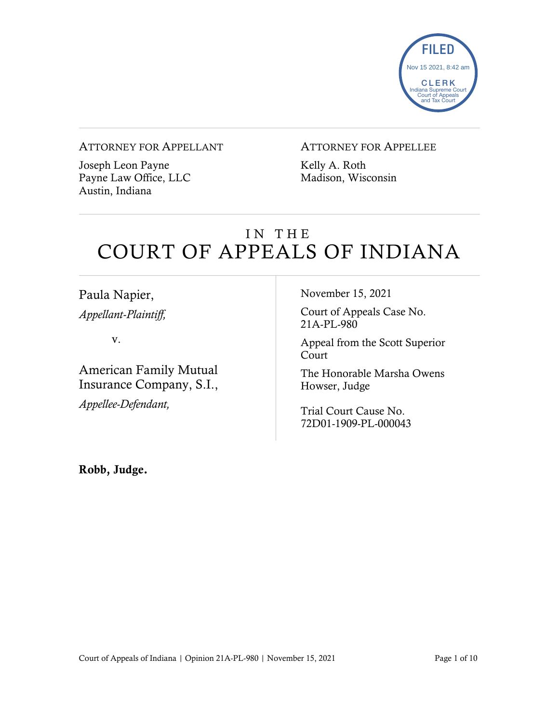

#### ATTORNEY FOR APPELLANT

Joseph Leon Payne Payne Law Office, LLC Austin, Indiana

#### ATTORNEY FOR APPELLEE

Kelly A. Roth Madison, Wisconsin

## IN THE COURT OF APPEALS OF INDIANA

Paula Napier, *Appellant-Plaintiff,*

v.

American Family Mutual Insurance Company, S.I., *Appellee-Defendant,*

November 15, 2021

Court of Appeals Case No. 21A-PL-980

Appeal from the Scott Superior Court

The Honorable Marsha Owens Howser, Judge

Trial Court Cause No. 72D01-1909-PL-000043

Robb, Judge.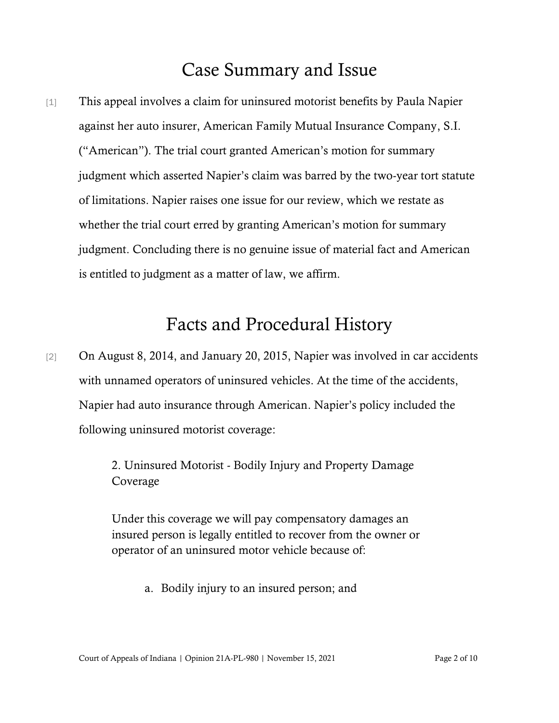### Case Summary and Issue

[1] This appeal involves a claim for uninsured motorist benefits by Paula Napier against her auto insurer, American Family Mutual Insurance Company, S.I. ("American"). The trial court granted American's motion for summary judgment which asserted Napier's claim was barred by the two-year tort statute of limitations. Napier raises one issue for our review, which we restate as whether the trial court erred by granting American's motion for summary judgment. Concluding there is no genuine issue of material fact and American is entitled to judgment as a matter of law, we affirm.

### Facts and Procedural History

[2] On August 8, 2014, and January 20, 2015, Napier was involved in car accidents with unnamed operators of uninsured vehicles. At the time of the accidents, Napier had auto insurance through American. Napier's policy included the following uninsured motorist coverage:

> 2. Uninsured Motorist - Bodily Injury and Property Damage Coverage

Under this coverage we will pay compensatory damages an insured person is legally entitled to recover from the owner or operator of an uninsured motor vehicle because of:

a. Bodily injury to an insured person; and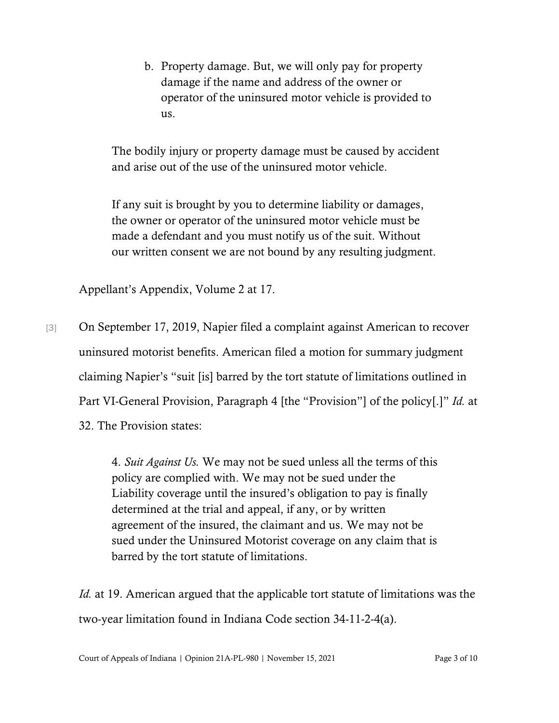b. Property damage. But, we will only pay for property damage if the name and address of the owner or operator of the uninsured motor vehicle is provided to us.

The bodily injury or property damage must be caused by accident and arise out of the use of the uninsured motor vehicle.

If any suit is brought by you to determine liability or damages, the owner or operator of the uninsured motor vehicle must be made a defendant and you must notify us of the suit. Without our written consent we are not bound by any resulting judgment.

Appellant's Appendix, Volume 2 at 17.

[3] On September 17, 2019, Napier filed a complaint against American to recover uninsured motorist benefits. American filed a motion for summary judgment claiming Napier's "suit [is] barred by the tort statute of limitations outlined in Part VI-General Provision, Paragraph 4 [the "Provision"] of the policy[.]" *Id.* at 32. The Provision states:

> 4. *Suit Against Us.* We may not be sued unless all the terms of this policy are complied with. We may not be sued under the Liability coverage until the insured's obligation to pay is finally determined at the trial and appeal, if any, or by written agreement of the insured, the claimant and us. We may not be sued under the Uninsured Motorist coverage on any claim that is barred by the tort statute of limitations.

*Id.* at 19. American argued that the applicable tort statute of limitations was the two-year limitation found in Indiana Code section 34-11-2-4(a).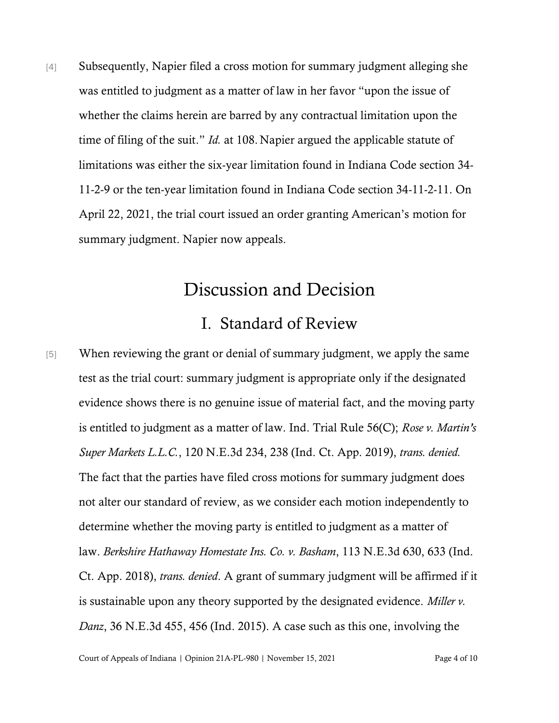[4] Subsequently, Napier filed a cross motion for summary judgment alleging she was entitled to judgment as a matter of law in her favor "upon the issue of whether the claims herein are barred by any contractual limitation upon the time of filing of the suit." *Id.* at 108. Napier argued the applicable statute of limitations was either the six-year limitation found in Indiana Code section 34- 11-2-9 or the ten-year limitation found in Indiana Code section 34-11-2-11. On April 22, 2021, the trial court issued an order granting American's motion for summary judgment. Napier now appeals.

## Discussion and Decision

#### I. Standard of Review

[5] When reviewing the grant or denial of summary judgment, we apply the same test as the trial court: summary judgment is appropriate only if the designated evidence shows there is no genuine issue of material fact, and the moving party is entitled to judgment as a matter of law. Ind. Trial Rule 56(C); *Rose v. Martin's Super Markets L.L.C.*, 120 N.E.3d 234, 238 (Ind. Ct. App. 2019), *trans. denied.* The fact that the parties have filed cross motions for summary judgment does not alter our standard of review, as we consider each motion independently to determine whether the moving party is entitled to judgment as a matter of law. *Berkshire [Hathaway](https://1.next.westlaw.com/Link/Document/FullText?findType=Y&serNum=2045771356&pubNum=0007902&originatingDoc=I0d711e303b8f11e98335c7ebe72735f9&refType=RP&fi=co_pp_sp_7902_633&originationContext=document&transitionType=DocumentItem&ppcid=6a70779ab07a485c8b80dfdfd5bb8067&contextData=(sc.Search)#co_pp_sp_7902_633) Homestate Ins. Co. v. Basham*, 113 N.E.3d 630, 633 (Ind[.](https://1.next.westlaw.com/Link/Document/FullText?findType=Y&serNum=2045771356&pubNum=0007902&originatingDoc=I0d711e303b8f11e98335c7ebe72735f9&refType=RP&fi=co_pp_sp_7902_633&originationContext=document&transitionType=DocumentItem&ppcid=6a70779ab07a485c8b80dfdfd5bb8067&contextData=(sc.Search)#co_pp_sp_7902_633) Ct. App. [2018\),](https://1.next.westlaw.com/Link/Document/FullText?findType=Y&serNum=2045771356&pubNum=0007902&originatingDoc=I0d711e303b8f11e98335c7ebe72735f9&refType=RP&fi=co_pp_sp_7902_633&originationContext=document&transitionType=DocumentItem&ppcid=6a70779ab07a485c8b80dfdfd5bb8067&contextData=(sc.Search)#co_pp_sp_7902_633) *trans. denied*. A grant of summary judgment will be affirmed if it is sustainable upon any theory supported by the designated evidence. *[Miller](https://1.next.westlaw.com/Link/Document/FullText?findType=Y&serNum=2036579743&pubNum=0007902&originatingDoc=I0d711e303b8f11e98335c7ebe72735f9&refType=RP&fi=co_pp_sp_7902_456&originationContext=document&transitionType=DocumentItem&ppcid=6a70779ab07a485c8b80dfdfd5bb8067&contextData=(sc.Search)#co_pp_sp_7902_456) v. Danz*, 36 [N.E.3d](https://1.next.westlaw.com/Link/Document/FullText?findType=Y&serNum=2036579743&pubNum=0007902&originatingDoc=I0d711e303b8f11e98335c7ebe72735f9&refType=RP&fi=co_pp_sp_7902_456&originationContext=document&transitionType=DocumentItem&ppcid=6a70779ab07a485c8b80dfdfd5bb8067&contextData=(sc.Search)#co_pp_sp_7902_456) 455, 456 (Ind. 2015). A case such as this one, involving the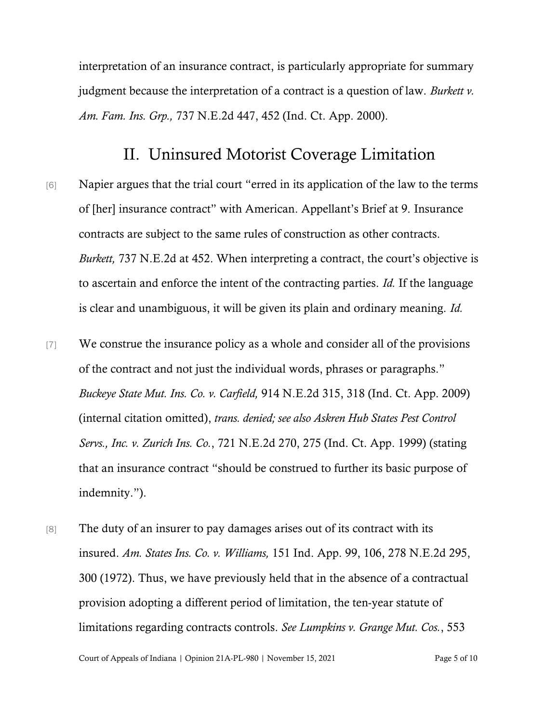interpretation of an insurance contract, is particularly appropriate for summary judgment because the interpretation of a contract is a question of law. *[Burkett](https://1.next.westlaw.com/Link/Document/FullText?findType=Y&serNum=2000590870&pubNum=0000578&originatingDoc=If9ed593f60d511e5b4bafa136b480ad2&refType=RP&fi=co_pp_sp_578_452&originationContext=document&transitionType=DocumentItem&ppcid=f885890671d342ec8b5fa100ce8cb4ed&contextData=(sc.Search)#co_pp_sp_578_452) v. Am. Fam. Ins. Grp.,* 737 [N.E.2d](https://1.next.westlaw.com/Link/Document/FullText?findType=Y&serNum=2000590870&pubNum=0000578&originatingDoc=If9ed593f60d511e5b4bafa136b480ad2&refType=RP&fi=co_pp_sp_578_452&originationContext=document&transitionType=DocumentItem&ppcid=f885890671d342ec8b5fa100ce8cb4ed&contextData=(sc.Search)#co_pp_sp_578_452) 447, 452 (Ind. Ct. App. 2000).

#### II. Uninsured Motorist Coverage Limitation

- [6] Napier argues that the trial court "erred in its application of the law to the terms of [her] insurance contract" with American. Appellant's Brief at 9. Insurance contracts are subject to the same rules of construction as other contracts. *Burkett,* 737 N.E.2d at 452. When interpreting a contract, the court's objective is to ascertain and enforce the intent of the contracting parties. *Id.* If the language is clear and unambiguous, it will be given its plain and ordinary meaning. *Id.*
- [7] We construe the insurance policy as a whole and consider all of the provisions of the contract and not just the individual words, phrases or paragraphs." *Buckeye State Mut. Ins. Co. v. [Carfield,](https://1.next.westlaw.com/Link/Document/FullText?findType=Y&serNum=2019979643&pubNum=578&originatingDoc=Ie1ccc3ddcef411e0be8fdb5fa26a1033&refType=RP&fi=co_pp_sp_578_318&originationContext=document&transitionType=DocumentItem&ppcid=86cefe3aa27e4157ba5112508067806d&contextData=(sc.Search)#co_pp_sp_578_318)* 914 N.E.2d 315, 318 (Ind. Ct. App. [2009\)](https://1.next.westlaw.com/Link/Document/FullText?findType=Y&serNum=2019979643&pubNum=578&originatingDoc=Ie1ccc3ddcef411e0be8fdb5fa26a1033&refType=RP&fi=co_pp_sp_578_318&originationContext=document&transitionType=DocumentItem&ppcid=86cefe3aa27e4157ba5112508067806d&contextData=(sc.Search)#co_pp_sp_578_318) (internal citation omitted), *trans. denied; see also Askren Hub States Pest Control Servs., Inc. v. Zurich Ins. Co.*, 721 N.E.2d 270, 275 (Ind. Ct. App. 1999) (stating that an insurance contract "should be construed to further its basic purpose of indemnity.").
- [8] The duty of an insurer to pay damages arises out of its contract with its insured. *Am. States Ins. Co. v. [Williams,](https://1.next.westlaw.com/Link/Document/FullText?findType=Y&serNum=1972113767&pubNum=578&originatingDoc=Ia1fc7355d34911d98ac8f235252e36df&refType=RP&fi=co_pp_sp_578_301&originationContext=document&transitionType=DocumentItem&ppcid=795f529162924b8ab93bc18fa558d10e&contextData=(sc.CustomDigest)#co_pp_sp_578_301)* 151 Ind. App. 99, 106, 278 N.E.2d 295[,](https://1.next.westlaw.com/Link/Document/FullText?findType=Y&serNum=1972113767&pubNum=578&originatingDoc=Ia1fc7355d34911d98ac8f235252e36df&refType=RP&fi=co_pp_sp_578_301&originationContext=document&transitionType=DocumentItem&ppcid=795f529162924b8ab93bc18fa558d10e&contextData=(sc.CustomDigest)#co_pp_sp_578_301) 300 [\(1972\).](https://1.next.westlaw.com/Link/Document/FullText?findType=Y&serNum=1972113767&pubNum=578&originatingDoc=Ia1fc7355d34911d98ac8f235252e36df&refType=RP&fi=co_pp_sp_578_301&originationContext=document&transitionType=DocumentItem&ppcid=795f529162924b8ab93bc18fa558d10e&contextData=(sc.CustomDigest)#co_pp_sp_578_301) Thus, we have previously held that in the absence of a contractual provision adopting a different period of limitation, the ten-year statute of limitations regarding contracts controls. *See Lumpkins v. Grange Mut. Cos.*, 553

Court of Appeals of Indiana | Opinion 21A-PL-980 | November 15, 2021 Page 5 of 10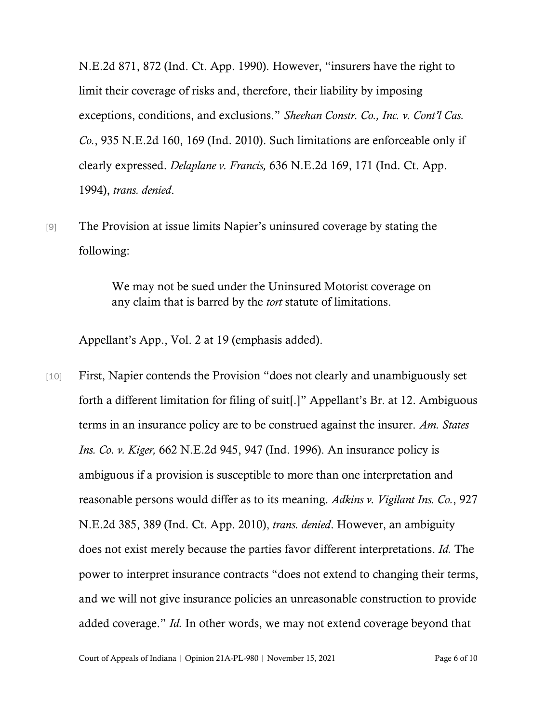N.E.2d 871, 872 (Ind. Ct. App. 1990). However, "insurers have the right to limit their coverage of risks and, therefore, their liability by imposing exceptions, conditions, and exclusions." *Sheehan Constr. Co., Inc. v. Cont'l Cas. Co.*, 935 N.E.2d 160, 169 (Ind. 2010). Such limitations are enforceable only if clearly expressed. *[Delaplane](https://1.next.westlaw.com/Link/Document/FullText?findType=Y&serNum=1994135222&pubNum=0000578&originatingDoc=If0da72e2d39b11d9a489ee624f1f6e1a&refType=RP&fi=co_pp_sp_578_171&originationContext=document&transitionType=DocumentItem&ppcid=068c84670f8e4774a97cc19f4f906be5&contextData=(sc.DocLink)#co_pp_sp_578_171) v. Francis,* 636 N.E.2d 169, 171 (Ind. Ct. App[.](https://1.next.westlaw.com/Link/Document/FullText?findType=Y&serNum=1994135222&pubNum=0000578&originatingDoc=If0da72e2d39b11d9a489ee624f1f6e1a&refType=RP&fi=co_pp_sp_578_171&originationContext=document&transitionType=DocumentItem&ppcid=068c84670f8e4774a97cc19f4f906be5&contextData=(sc.DocLink)#co_pp_sp_578_171) [1994\),](https://1.next.westlaw.com/Link/Document/FullText?findType=Y&serNum=1994135222&pubNum=0000578&originatingDoc=If0da72e2d39b11d9a489ee624f1f6e1a&refType=RP&fi=co_pp_sp_578_171&originationContext=document&transitionType=DocumentItem&ppcid=068c84670f8e4774a97cc19f4f906be5&contextData=(sc.DocLink)#co_pp_sp_578_171) *trans. denied*.

[9] The Provision at issue limits Napier's uninsured coverage by stating the following:

> We may not be sued under the Uninsured Motorist coverage on any claim that is barred by the *tort* statute of limitations.

Appellant's App., Vol. 2 at 19 (emphasis added).

[10] First, Napier contends the Provision "does not clearly and unambiguously set forth a different limitation for filing of suit[.]" Appellant's Br. at 12. Ambiguous terms in an insurance policy are to be construed against the insurer. *Am. [States](https://1.next.westlaw.com/Link/Document/FullText?findType=Y&serNum=1996078755&pubNum=0000578&originatingDoc=I62b5ed81d39811d99439b076ef9ec4de&refType=RP&fi=co_pp_sp_578_947&originationContext=document&transitionType=DocumentItem&ppcid=15e46a375d6b4a43a63af575a3c16a52&contextData=(sc.Search)#co_pp_sp_578_947) Ins. Co. v. Kiger,* 662 [N.E.2d](https://1.next.westlaw.com/Link/Document/FullText?findType=Y&serNum=1996078755&pubNum=0000578&originatingDoc=I62b5ed81d39811d99439b076ef9ec4de&refType=RP&fi=co_pp_sp_578_947&originationContext=document&transitionType=DocumentItem&ppcid=15e46a375d6b4a43a63af575a3c16a52&contextData=(sc.Search)#co_pp_sp_578_947) 945, 947 (Ind. 1996). An insurance policy is ambiguous if a provision is susceptible to more than one interpretation and reasonable persons would differ as to its meaning. *Adkins v. [Vigilant](https://1.next.westlaw.com/Link/Document/FullText?findType=Y&serNum=2022054940&pubNum=0000578&originatingDoc=I079d3940137011e98f4d8d23fc0d7c2b&refType=RP&fi=co_pp_sp_578_389&originationContext=document&transitionType=DocumentItem&ppcid=74d4191ead3c4208a66e979765026159&contextData=(sc.Search)#co_pp_sp_578_389) Ins. Co.*, 92[7](https://1.next.westlaw.com/Link/Document/FullText?findType=Y&serNum=2022054940&pubNum=0000578&originatingDoc=I079d3940137011e98f4d8d23fc0d7c2b&refType=RP&fi=co_pp_sp_578_389&originationContext=document&transitionType=DocumentItem&ppcid=74d4191ead3c4208a66e979765026159&contextData=(sc.Search)#co_pp_sp_578_389) [N.E.2d](https://1.next.westlaw.com/Link/Document/FullText?findType=Y&serNum=2022054940&pubNum=0000578&originatingDoc=I079d3940137011e98f4d8d23fc0d7c2b&refType=RP&fi=co_pp_sp_578_389&originationContext=document&transitionType=DocumentItem&ppcid=74d4191ead3c4208a66e979765026159&contextData=(sc.Search)#co_pp_sp_578_389) 385, 389 (Ind. Ct. App. 2010), *trans. denied*. However, an ambiguity does not exist merely because the parties favor different interpretations. *Id.* The power to interpret insurance contracts "does not extend to changing their terms, and we will not give insurance policies an unreasonable construction to provide added coverage." *Id.* In other words, we may not extend coverage beyond that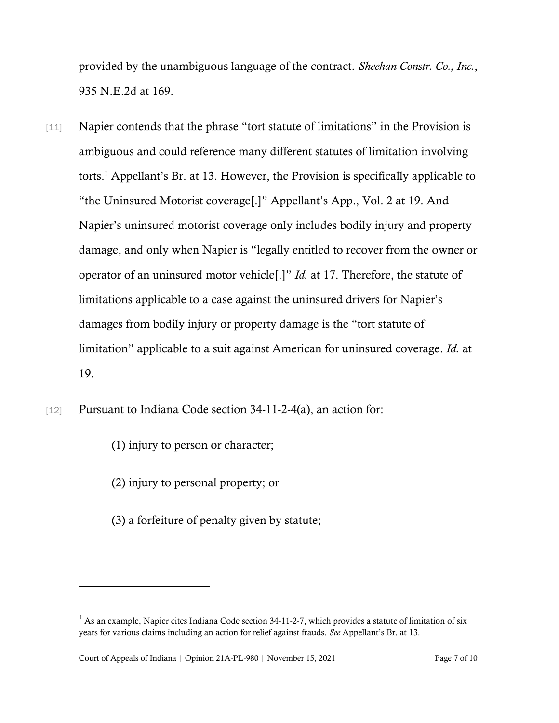provided by the unambiguous language of the contract. *Sheehan Constr. Co., Inc.*, 935 N.E.2d at 169.

- [11] Napier contends that the phrase "tort statute of limitations" in the Provision is ambiguous and could reference many different statutes of limitation involving torts.<sup>1</sup> Appellant's Br. at 13. However, the Provision is specifically applicable to "the Uninsured Motorist coverage[.]" Appellant's App., Vol. 2 at 19. And Napier's uninsured motorist coverage only includes bodily injury and property damage, and only when Napier is "legally entitled to recover from the owner or operator of an uninsured motor vehicle[.]" *Id.* at 17. Therefore, the statute of limitations applicable to a case against the uninsured drivers for Napier's damages from bodily injury or property damage is the "tort statute of limitation" applicable to a suit against American for uninsured coverage. *Id.* at 19.
- [12] Pursuant to Indiana Code section 34-11-2-4(a), an action for:
	- (1) injury to person or character;
	- (2) injury to personal property; or
	- (3) a forfeiture of penalty given by statute;

 $<sup>1</sup>$  As an example, Napier cites Indiana Code section 34-11-2-7, which provides a statute of limitation of six</sup> years for various claims including an action for relief against frauds. *See* Appellant's Br. at 13.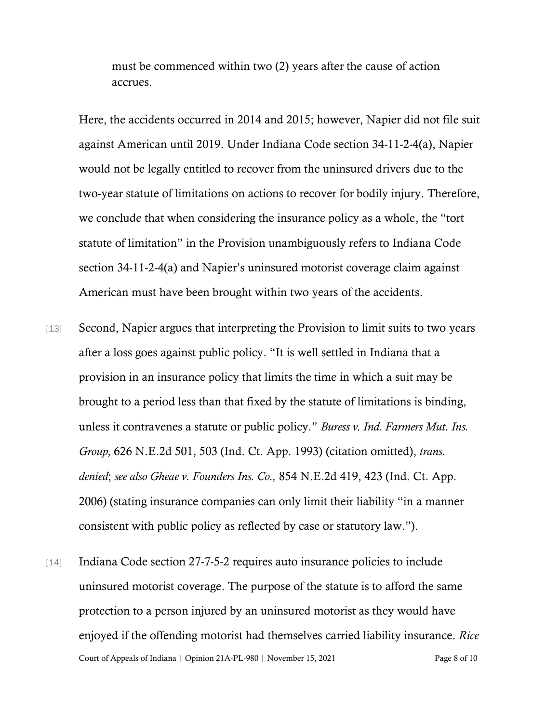must be commenced within two (2) years after the cause of action accrues.

Here, the accidents occurred in 2014 and 2015; however, Napier did not file suit against American until 2019. Under Indiana Code section 34-11-2-4(a), Napier would not be legally entitled to recover from the uninsured drivers due to the two-year statute of limitations on actions to recover for bodily injury. Therefore, we conclude that when considering the insurance policy as a whole, the "tort statute of limitation" in the Provision unambiguously refers to Indiana Code section 34-11-2-4(a) and Napier's uninsured motorist coverage claim against American must have been brought within two years of the accidents.

- [13] Second, Napier argues that interpreting the Provision to limit suits to two years after a loss goes against public policy. "It is well settled in Indiana that a provision in an insurance policy that limits the time in which a suit may be brought to a period less than that fixed by the statute of limitations is binding, unless it contravenes a statute or public policy." *Buress v. Ind. Farmers Mut. Ins. Group,* 626 N.E.2d 501, 503 (Ind. Ct. App. 1993) (citation omitted), *trans. denied*; *see also Gheae v. [Founders](https://1.next.westlaw.com/Link/Document/FullText?findType=Y&serNum=2010386571&pubNum=578&originatingDoc=Ie1ccc3ddcef411e0be8fdb5fa26a1033&refType=RP&fi=co_pp_sp_578_423&originationContext=document&transitionType=DocumentItem&ppcid=b45fe2f59f3a4c5caefe3a041f47071d&contextData=(sc.Search)#co_pp_sp_578_423) Ins. Co.,* 854 N.E.2d 419, 423 (Ind. Ct. App[.](https://1.next.westlaw.com/Link/Document/FullText?findType=Y&serNum=2010386571&pubNum=578&originatingDoc=Ie1ccc3ddcef411e0be8fdb5fa26a1033&refType=RP&fi=co_pp_sp_578_423&originationContext=document&transitionType=DocumentItem&ppcid=b45fe2f59f3a4c5caefe3a041f47071d&contextData=(sc.Search)#co_pp_sp_578_423) [2006\)](https://1.next.westlaw.com/Link/Document/FullText?findType=Y&serNum=2010386571&pubNum=578&originatingDoc=Ie1ccc3ddcef411e0be8fdb5fa26a1033&refType=RP&fi=co_pp_sp_578_423&originationContext=document&transitionType=DocumentItem&ppcid=b45fe2f59f3a4c5caefe3a041f47071d&contextData=(sc.Search)#co_pp_sp_578_423) (stating insurance companies can only limit their liability "in a manner consistent with public policy as reflected by case or statutory law.").
- Court of Appeals of Indiana | Opinion 21A-PL-980 | November 15, 2021 Page 8 of 10 [14] Indiana Code section 27-7-5-2 requires auto insurance policies to include uninsured motorist coverage. The purpose of the statute is to afford the same protection to a person injured by an uninsured motorist as they would have enjoyed if the offending motorist had themselves carried liability insurance. *Rice*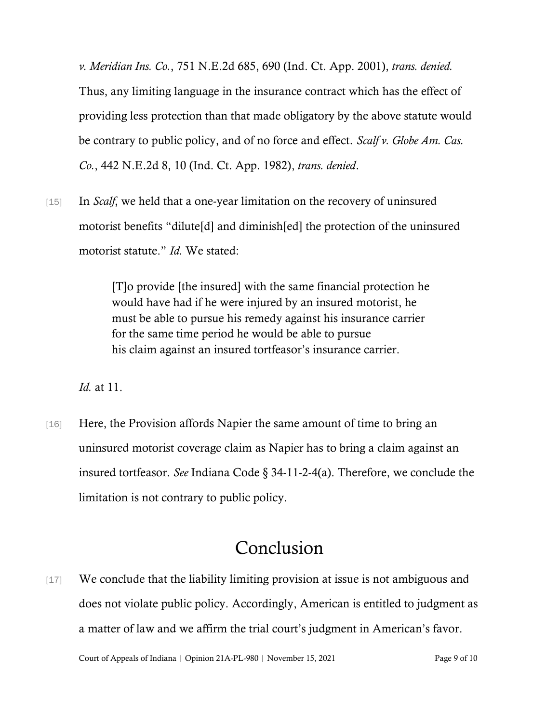*v. Meridian Ins. Co.*, 751 N.E.2d 685, 690 (Ind. Ct. App. 2001), *trans. denied.* Thus, any limiting language in the insurance contract which has the effect of providing less protection than that made obligatory by the above statute would be contrary to public policy, and of no force and effect. *Scalf v. Globe Am. Cas. Co.*, 442 N.E.2d 8, 10 (Ind. Ct. App. 1982), *trans. denied*.

[15] In *Scalf*, we held that a one-year limitation on the recovery of uninsured motorist benefits "dilute[d] and diminish[ed] the protection of the uninsured motorist statute." *Id.* We stated:

> [T]o provide [the insured] with the same financial protection he would have had if he were injured by an insured motorist, he must be able to pursue his remedy against his insurance carrier for the same time period he would be able to pursue his claim against an insured tortfeasor's insurance carrier.

*Id.* at 11.

[16] Here, the Provision affords Napier the same amount of time to bring an uninsured motorist coverage claim as Napier has to bring a claim against an insured tortfeasor. *See* Indiana Code § 34-11-2-4(a). Therefore, we conclude the limitation is not contrary to public policy.

# Conclusion

[17] We conclude that the liability limiting provision at issue is not ambiguous and does not violate public policy. Accordingly, American is entitled to judgment as a matter of law and we affirm the trial court's judgment in American's favor.